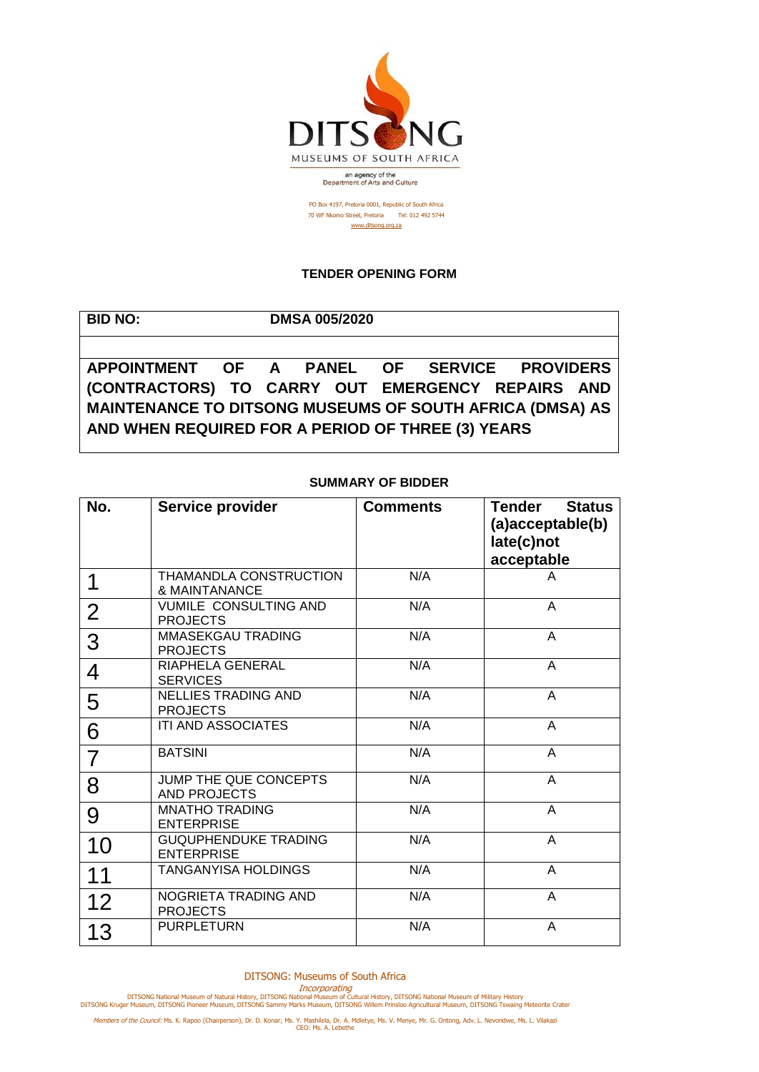

PO Box 4197, Pretoria 0001, Republic of South Africa 70 WF Nkomo Street, Pretoria Tel: 012 492 5744 [www.ditsong.org.za](http://www.ditsong.org.za/)

## **TENDER OPENING FORM**

| <b>BID NO:</b>                                           |  | <b>DMSA 005/2020</b> |  |  |
|----------------------------------------------------------|--|----------------------|--|--|
|                                                          |  |                      |  |  |
| APPOINTMENT OF A PANEL OF SERVICE PROVIDERS              |  |                      |  |  |
| (CONTRACTORS) TO CARRY OUT EMERGENCY REPAIRS AND         |  |                      |  |  |
| MAINTENANCE TO DITSONG MUSEUMS OF SOUTH AFRICA (DMSA) AS |  |                      |  |  |
| AND WHEN REQUIRED FOR A PERIOD OF THREE (3) YEARS        |  |                      |  |  |
|                                                          |  |                      |  |  |

## **SUMMARY OF BIDDER**

| No.            | Service provider                                 | <b>Comments</b> | Tender<br><b>Status</b><br>(a)acceptable(b)<br>late(c)not<br>acceptable |
|----------------|--------------------------------------------------|-----------------|-------------------------------------------------------------------------|
| 1              | THAMANDLA CONSTRUCTION<br>& MAINTANANCE          | N/A             | A                                                                       |
| $\overline{2}$ | <b>VUMILE CONSULTING AND</b><br><b>PROJECTS</b>  | N/A             | A                                                                       |
| 3              | MMASEKGAU TRADING<br><b>PROJECTS</b>             | N/A             | A                                                                       |
| 4              | RIAPHELA GENERAL<br><b>SERVICES</b>              | N/A             | A                                                                       |
| 5              | <b>NELLIES TRADING AND</b><br><b>PROJECTS</b>    | N/A             | A                                                                       |
| 6              | ITI AND ASSOCIATES                               | N/A             | A                                                                       |
| 7              | <b>BATSINI</b>                                   | N/A             | A                                                                       |
| 8              | JUMP THE QUE CONCEPTS<br>AND PROJECTS            | N/A             | A                                                                       |
| 9              | <b>MNATHO TRADING</b><br><b>ENTERPRISE</b>       | N/A             | A                                                                       |
| 10             | <b>GUQUPHENDUKE TRADING</b><br><b>ENTERPRISE</b> | N/A             | A                                                                       |
| 11             | <b>TANGANYISA HOLDINGS</b>                       | N/A             | A                                                                       |
| 12             | NOGRIETA TRADING AND<br><b>PROJECTS</b>          | N/A             | A                                                                       |
| 13             | <b>PURPLETURN</b>                                | N/A             | A                                                                       |

DITSONG: Museums of South Africa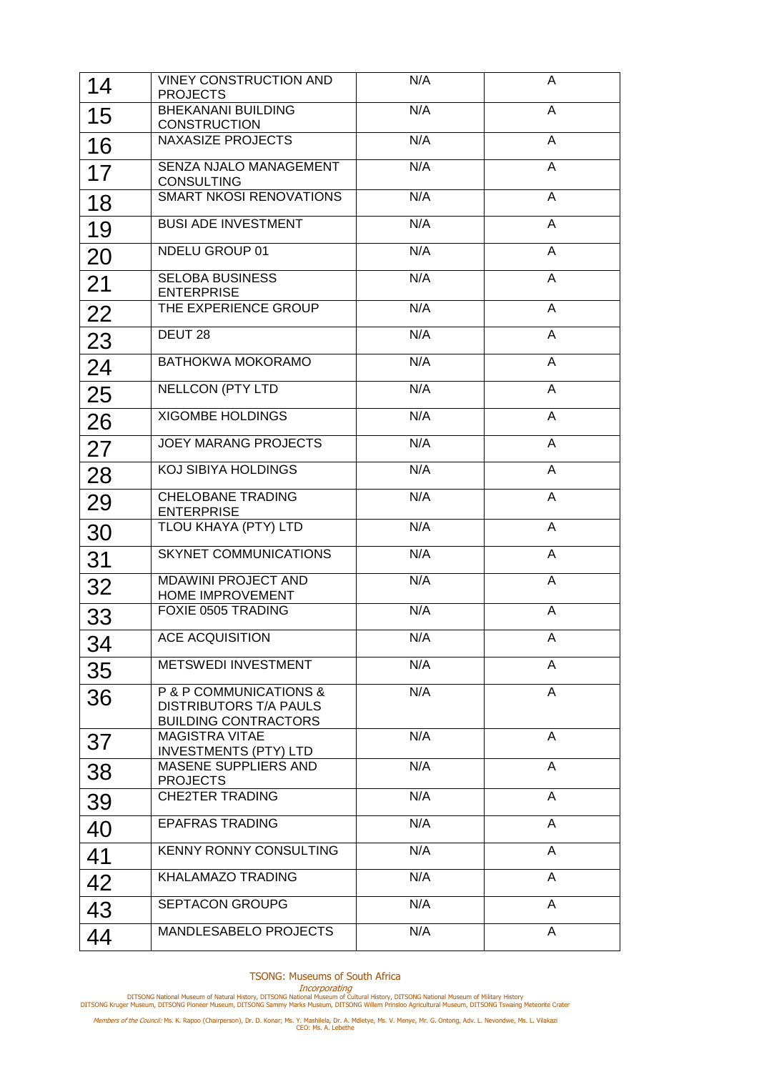| 14 | <b>VINEY CONSTRUCTION AND</b><br><b>PROJECTS</b>                                       | N/A | A              |
|----|----------------------------------------------------------------------------------------|-----|----------------|
| 15 | <b>BHEKANANI BUILDING</b><br><b>CONSTRUCTION</b>                                       | N/A | A              |
| 16 | <b>NAXASIZE PROJECTS</b>                                                               | N/A | A              |
| 17 | SENZA NJALO MANAGEMENT<br><b>CONSULTING</b>                                            | N/A | $\overline{A}$ |
| 18 | <b>SMART NKOSI RENOVATIONS</b>                                                         | N/A | A              |
| 19 | <b>BUSI ADE INVESTMENT</b>                                                             | N/A | A              |
| 20 | <b>NDELU GROUP 01</b>                                                                  | N/A | A              |
| 21 | <b>SELOBA BUSINESS</b><br><b>ENTERPRISE</b>                                            | N/A | A              |
| 22 | THE EXPERIENCE GROUP                                                                   | N/A | A              |
| 23 | DEUT <sub>28</sub>                                                                     | N/A | A              |
| 24 | BATHOKWA MOKORAMO                                                                      | N/A | A              |
| 25 | <b>NELLCON (PTY LTD</b>                                                                | N/A | A              |
| 26 | <b>XIGOMBE HOLDINGS</b>                                                                | N/A | A              |
| 27 | <b>JOEY MARANG PROJECTS</b>                                                            | N/A | A              |
| 28 | <b>KOJ SIBIYA HOLDINGS</b>                                                             | N/A | A              |
| 29 | <b>CHELOBANE TRADING</b><br><b>ENTERPRISE</b>                                          | N/A | $\overline{A}$ |
| 30 | TLOU KHAYA (PTY) LTD                                                                   | N/A | $\overline{A}$ |
| 31 | <b>SKYNET COMMUNICATIONS</b>                                                           | N/A | A              |
| 32 | MDAWINI PROJECT AND<br>HOME IMPROVEMENT                                                | N/A | A              |
| 33 | <b>FOXIE 0505 TRADING</b>                                                              | N/A | A              |
| 34 | <b>ACE ACQUISITION</b>                                                                 | N/A | A              |
| 35 | <b>METSWEDI INVESTMENT</b>                                                             | N/A | A              |
| 36 | P & P COMMUNICATIONS &<br><b>DISTRIBUTORS T/A PAULS</b><br><b>BUILDING CONTRACTORS</b> | N/A | $\overline{A}$ |
| 37 | <b>MAGISTRA VITAE</b><br><b>INVESTMENTS (PTY) LTD</b>                                  | N/A | A              |
| 38 | MASENE SUPPLIERS AND<br><b>PROJECTS</b>                                                | N/A | A              |
| 39 | <b>CHE2TER TRADING</b>                                                                 | N/A | A              |
| 40 | <b>EPAFRAS TRADING</b>                                                                 | N/A | A              |
| 41 | <b>KENNY RONNY CONSULTING</b>                                                          | N/A | A              |
| 42 | <b>KHALAMAZO TRADING</b>                                                               | N/A | A              |
| 43 | <b>SEPTACON GROUPG</b>                                                                 | N/A | A              |
| 44 | MANDLESABELO PROJECTS                                                                  | N/A | A              |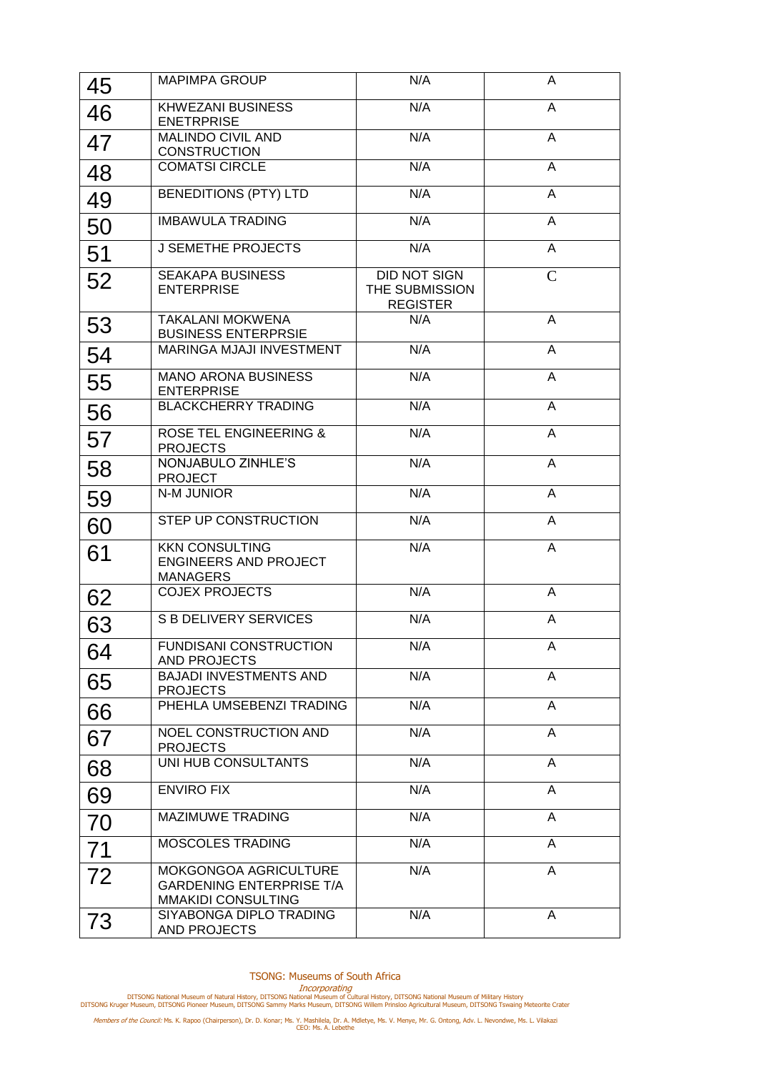| 45 | <b>MAPIMPA GROUP</b>                                                           | N/A                                                      | A              |
|----|--------------------------------------------------------------------------------|----------------------------------------------------------|----------------|
| 46 | <b>KHWEZANI BUSINESS</b><br><b>ENETRPRISE</b>                                  | N/A                                                      | A              |
| 47 | <b>MALINDO CIVIL AND</b><br><b>CONSTRUCTION</b>                                | N/A                                                      | $\overline{A}$ |
| 48 | <b>COMATSI CIRCLE</b>                                                          | N/A                                                      | A              |
| 49 | <b>BENEDITIONS (PTY) LTD</b>                                                   | N/A                                                      | A              |
| 50 | <b>IMBAWULA TRADING</b>                                                        | N/A                                                      | A              |
| 51 | <b>J SEMETHE PROJECTS</b>                                                      | N/A                                                      | A              |
| 52 | <b>SEAKAPA BUSINESS</b><br><b>ENTERPRISE</b>                                   | <b>DID NOT SIGN</b><br>THE SUBMISSION<br><b>REGISTER</b> | $\mathsf{C}$   |
| 53 | <b>TAKALANI MOKWENA</b><br><b>BUSINESS ENTERPRSIE</b>                          | N/A                                                      | A              |
| 54 | <b>MARINGA MJAJI INVESTMENT</b>                                                | N/A                                                      | A              |
| 55 | <b>MANO ARONA BUSINESS</b><br><b>ENTERPRISE</b>                                | N/A                                                      | A              |
| 56 | <b>BLACKCHERRY TRADING</b>                                                     | N/A                                                      | A              |
| 57 | <b>ROSE TEL ENGINEERING &amp;</b><br><b>PROJECTS</b>                           | N/A                                                      | A              |
| 58 | NONJABULO ZINHLE'S<br><b>PROJECT</b>                                           | N/A                                                      | A              |
| 59 | N-M JUNIOR                                                                     | N/A                                                      | A              |
| 60 | STEP UP CONSTRUCTION                                                           | N/A                                                      | A              |
| 61 | <b>KKN CONSULTING</b><br><b>ENGINEERS AND PROJECT</b><br><b>MANAGERS</b>       | N/A                                                      | A              |
| 62 | <b>COJEX PROJECTS</b>                                                          | N/A                                                      | A              |
| 63 | <b>S B DELIVERY SERVICES</b>                                                   | N/A                                                      | A              |
| 64 | <b>FUNDISANI CONSTRUCTION</b><br><b>AND PROJECTS</b>                           | N/A                                                      | A              |
| 65 | <b>BAJADI INVESTMENTS AND</b><br><b>PROJECTS</b>                               | N/A                                                      | A              |
| 66 | PHEHLA UMSEBENZI TRADING                                                       | N/A                                                      | A              |
| 67 | NOEL CONSTRUCTION AND<br><b>PROJECTS</b>                                       | N/A                                                      | A              |
| 68 | UNI HUB CONSULTANTS                                                            | N/A                                                      | $\overline{A}$ |
| 69 | <b>ENVIRO FIX</b>                                                              | N/A                                                      | A              |
| 70 | MAZIMUWE TRADING                                                               | N/A                                                      | $\overline{A}$ |
| 71 | MOSCOLES TRADING                                                               | N/A                                                      | $\overline{A}$ |
| 72 | MOKGONGOA AGRICULTURE<br><b>GARDENING ENTERPRISE T/A</b><br>MMAKIDI CONSULTING | N/A                                                      | A              |
| 73 | SIYABONGA DIPLO TRADING<br>AND PROJECTS                                        | N/A                                                      | A              |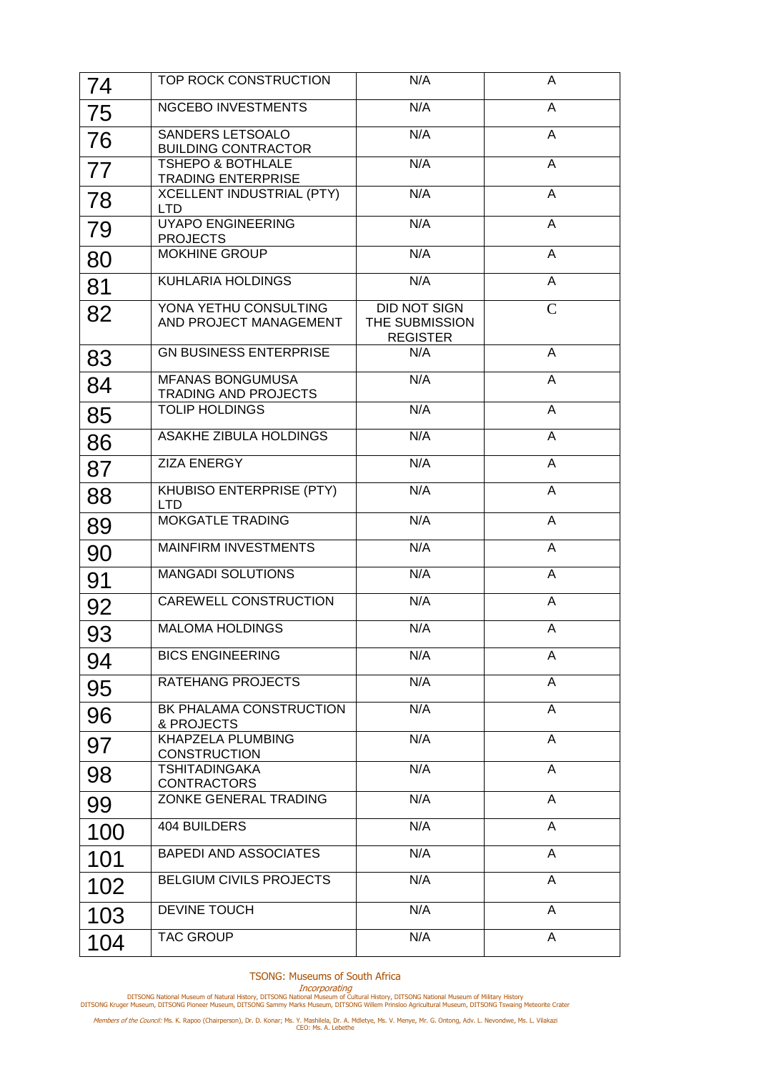| 74  | TOP ROCK CONSTRUCTION                                     | N/A                                               | A              |
|-----|-----------------------------------------------------------|---------------------------------------------------|----------------|
| 75  | NGCEBO INVESTMENTS                                        | N/A                                               | A              |
| 76  | SANDERS LETSOALO<br><b>BUILDING CONTRACTOR</b>            | N/A                                               | A              |
| 77  | <b>TSHEPO &amp; BOTHLALE</b><br><b>TRADING ENTERPRISE</b> | N/A                                               | A              |
| 78  | <b>XCELLENT INDUSTRIAL (PTY)</b><br><b>LTD</b>            | N/A                                               | A              |
| 79  | <b>UYAPO ENGINEERING</b><br><b>PROJECTS</b>               | N/A                                               | A              |
| 80  | <b>MOKHINE GROUP</b>                                      | N/A                                               | A              |
| 81  | KUHLARIA HOLDINGS                                         | N/A                                               | A              |
| 82  | YONA YETHU CONSULTING<br>AND PROJECT MANAGEMENT           | DID NOT SIGN<br>THE SUBMISSION<br><b>REGISTER</b> | $\mathsf{C}$   |
| 83  | <b>GN BUSINESS ENTERPRISE</b>                             | N/A                                               | A              |
| 84  | <b>MFANAS BONGUMUSA</b><br><b>TRADING AND PROJECTS</b>    | N/A                                               | A              |
| 85  | <b>TOLIP HOLDINGS</b>                                     | N/A                                               | A              |
| 86  | <b>ASAKHE ZIBULA HOLDINGS</b>                             | N/A                                               | A              |
| 87  | <b>ZIZA ENERGY</b>                                        | N/A                                               | A              |
| 88  | KHUBISO ENTERPRISE (PTY)<br><b>LTD</b>                    | N/A                                               | A              |
| 89  | <b>MOKGATLE TRADING</b>                                   | N/A                                               | A              |
| 90  | MAINFIRM INVESTMENTS                                      | N/A                                               | A              |
| 91  | <b>MANGADI SOLUTIONS</b>                                  | N/A                                               | A              |
| 92  | CAREWELL CONSTRUCTION                                     | N/A                                               | A              |
| 93  | <b>MALOMA HOLDINGS</b>                                    | N/A                                               | A              |
| 94  | <b>BICS ENGINEERING</b>                                   | N/A                                               | A              |
| 95  | RATEHANG PROJECTS                                         | N/A                                               | A              |
| 96  | BK PHALAMA CONSTRUCTION<br>& PROJECTS                     | N/A                                               | $\overline{A}$ |
| 97  | KHAPZELA PLUMBING<br><b>CONSTRUCTION</b>                  | N/A                                               | $\overline{A}$ |
| 98  | <b>TSHITADINGAKA</b><br><b>CONTRACTORS</b>                | N/A                                               | A              |
| 99  | <b>ZONKE GENERAL TRADING</b>                              | N/A                                               | A              |
| 100 | 404 BUILDERS                                              | N/A                                               | A              |
| 101 | <b>BAPEDI AND ASSOCIATES</b>                              | N/A                                               | A              |
| 102 | <b>BELGIUM CIVILS PROJECTS</b>                            | N/A                                               | A              |
| 103 | <b>DEVINE TOUCH</b>                                       | N/A                                               | A              |
| 104 | <b>TAC GROUP</b>                                          | N/A                                               | A              |

Incorporating<br>DITSONG National Museum of Natural History, DITSONG National Museum of Military History<br>DITSONG Kruger Museum, DITSONG Pioneer Museum, DITSONG Sammy Marks Museum, DITSONG Willem Prinsloo Agricultural Museum,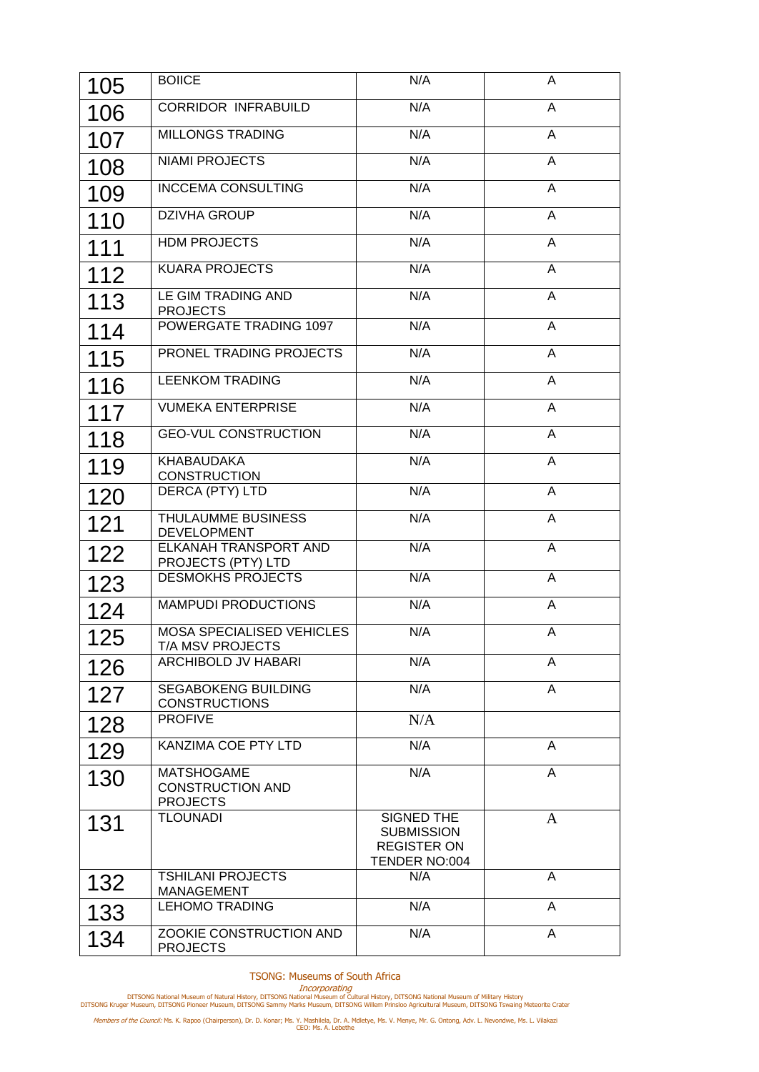| 105 | <b>BOIICE</b>                                                   | N/A                                                                    | A              |
|-----|-----------------------------------------------------------------|------------------------------------------------------------------------|----------------|
| 106 | <b>CORRIDOR INFRABUILD</b>                                      | N/A                                                                    | A              |
| 107 | <b>MILLONGS TRADING</b>                                         | N/A                                                                    | A              |
| 108 | <b>NIAMI PROJECTS</b>                                           | N/A                                                                    | A              |
| 109 | <b>INCCEMA CONSULTING</b>                                       | N/A                                                                    | A              |
| 110 | <b>DZIVHA GROUP</b>                                             | N/A                                                                    | A              |
| 111 | <b>HDM PROJECTS</b>                                             | N/A                                                                    | $\overline{A}$ |
| 112 | <b>KUARA PROJECTS</b>                                           | N/A                                                                    | $\overline{A}$ |
| 113 | LE GIM TRADING AND<br><b>PROJECTS</b>                           | N/A                                                                    | A              |
| 114 | <b>POWERGATE TRADING 1097</b>                                   | N/A                                                                    | A              |
| 115 | PRONEL TRADING PROJECTS                                         | N/A                                                                    | A              |
| 116 | <b>LEENKOM TRADING</b>                                          | N/A                                                                    | $\overline{A}$ |
| 117 | <b>VUMEKA ENTERPRISE</b>                                        | N/A                                                                    | $\overline{A}$ |
| 118 | <b>GEO-VUL CONSTRUCTION</b>                                     | N/A                                                                    | A              |
| 119 | <b>KHABAUDAKA</b><br><b>CONSTRUCTION</b>                        | N/A                                                                    | A              |
| 120 | DERCA (PTY) LTD                                                 | N/A                                                                    | A              |
| 121 | <b>THULAUMME BUSINESS</b><br><b>DEVELOPMENT</b>                 | N/A                                                                    | A              |
| 122 | <b>ELKANAH TRANSPORT AND</b>                                    | N/A                                                                    | A              |
| 123 | PROJECTS (PTY) LTD<br><b>DESMOKHS PROJECTS</b>                  | N/A                                                                    | A              |
| 124 | <b>MAMPUDI PRODUCTIONS</b>                                      | N/A                                                                    | A              |
| 125 | <b>MOSA SPECIALISED VEHICLES</b><br>T/A MSV PROJECTS            | N/A                                                                    | A              |
| 126 | ARCHIBOLD JV HABARI                                             | N/A                                                                    | A              |
| 127 | <b>SEGABOKENG BUILDING</b><br><b>CONSTRUCTIONS</b>              | N/A                                                                    | A              |
| 128 | <b>PROFIVE</b>                                                  | N/A                                                                    |                |
| 129 | KANZIMA COE PTY LTD                                             | N/A                                                                    | A              |
| 130 | <b>MATSHOGAME</b><br><b>CONSTRUCTION AND</b><br><b>PROJECTS</b> | N/A                                                                    | A              |
| 131 | <b>TLOUNADI</b>                                                 | SIGNED THE<br><b>SUBMISSION</b><br><b>REGISTER ON</b><br>TENDER NO:004 | $\mathbf{A}$   |
| 132 | <b>TSHILANI PROJECTS</b><br>MANAGEMENT                          | N/A                                                                    | A              |
| 133 | <b>LEHOMO TRADING</b>                                           | N/A                                                                    | A              |
| 134 | ZOOKIE CONSTRUCTION AND<br><b>PROJECTS</b>                      | N/A                                                                    | A              |

Incorporating<br>DITSONG National Museum of Natural History, DITSONG National Museum of Military History<br>DITSONG Kruger Museum, DITSONG Pioneer Museum, DITSONG Sammy Marks Museum, DITSONG Willem Prinsloo Agricultural Museum,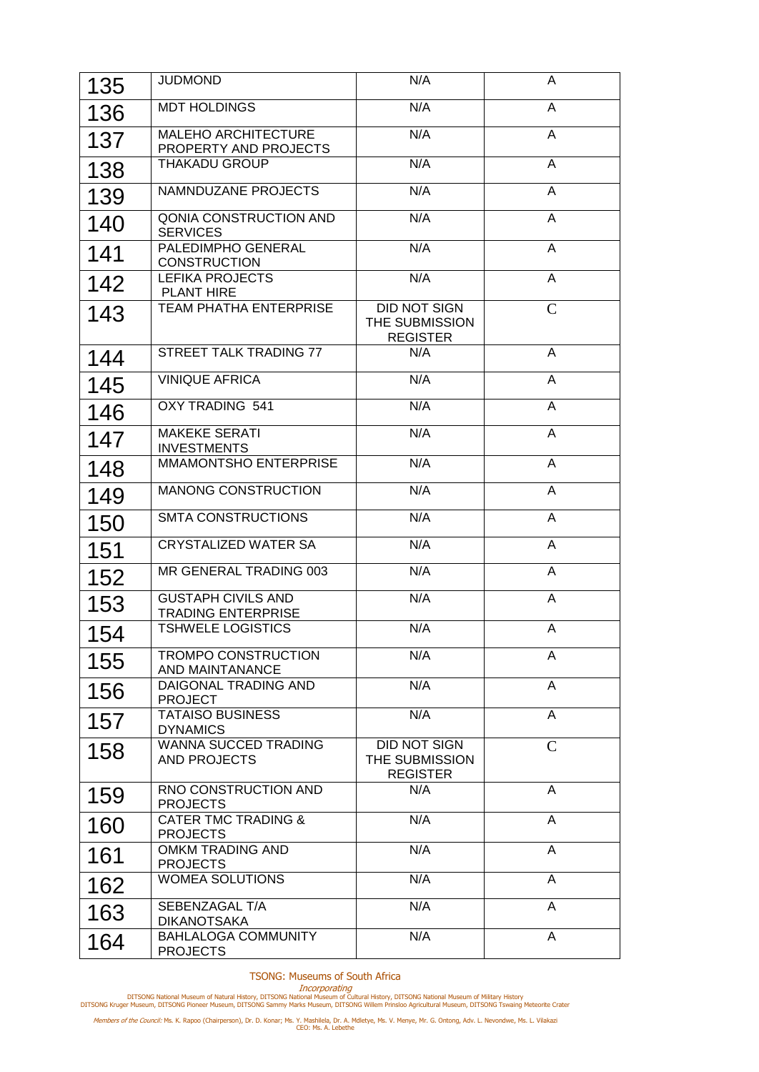| 135 | <b>JUDMOND</b>                                         | N/A                                                      | A              |
|-----|--------------------------------------------------------|----------------------------------------------------------|----------------|
| 136 | <b>MDT HOLDINGS</b>                                    | N/A                                                      | A              |
| 137 | MALEHO ARCHITECTURE<br>PROPERTY AND PROJECTS           | N/A                                                      | A              |
| 138 | <b>THAKADU GROUP</b>                                   | N/A                                                      | A              |
| 139 | <b>NAMNDUZANE PROJECTS</b>                             | N/A                                                      | $\overline{A}$ |
| 140 | QONIA CONSTRUCTION AND<br><b>SERVICES</b>              | N/A                                                      | A              |
| 141 | PALEDIMPHO GENERAL<br><b>CONSTRUCTION</b>              | N/A                                                      | A              |
| 142 | <b>LEFIKA PROJECTS</b><br><b>PLANT HIRE</b>            | N/A                                                      | A              |
| 143 | <b>TEAM PHATHA ENTERPRISE</b>                          | DID NOT SIGN<br>THE SUBMISSION<br><b>REGISTER</b>        | $\mathsf{C}$   |
| 144 | STREET TALK TRADING 77                                 | N/A                                                      | A              |
| 145 | <b>VINIQUE AFRICA</b>                                  | N/A                                                      | $\overline{A}$ |
| 146 | <b>OXY TRADING 541</b>                                 | N/A                                                      | A              |
| 147 | <b>MAKEKE SERATI</b><br><b>INVESTMENTS</b>             | N/A                                                      | A              |
| 148 | <b>MMAMONTSHO ENTERPRISE</b>                           | N/A                                                      | $\overline{A}$ |
| 149 | <b>MANONG CONSTRUCTION</b>                             | N/A                                                      | A              |
| 150 | <b>SMTA CONSTRUCTIONS</b>                              | N/A                                                      | A              |
| 151 | <b>CRYSTALIZED WATER SA</b>                            | N/A                                                      | A              |
| 152 | MR GENERAL TRADING 003                                 | N/A                                                      | A              |
| 153 | <b>GUSTAPH CIVILS AND</b><br><b>TRADING ENTERPRISE</b> | N/A                                                      | A              |
| 154 | <b>TSHWELE LOGISTICS</b>                               | N/A                                                      | A              |
| 155 | <b>TROMPO CONSTRUCTION</b><br>AND MAINTANANCE          | N/A                                                      | A              |
| 156 | DAIGONAL TRADING AND<br><b>PROJECT</b>                 | N/A                                                      | A              |
| 157 | <b>TATAISO BUSINESS</b><br><b>DYNAMICS</b>             | N/A                                                      | A              |
| 158 | <b>WANNA SUCCED TRADING</b><br>AND PROJECTS            | <b>DID NOT SIGN</b><br>THE SUBMISSION<br><b>REGISTER</b> | $\mathsf{C}$   |
| 159 | RNO CONSTRUCTION AND<br><b>PROJECTS</b>                | N/A                                                      | A              |
| 160 | <b>CATER TMC TRADING &amp;</b><br><b>PROJECTS</b>      | N/A                                                      | A              |
| 161 | OMKM TRADING AND<br><b>PROJECTS</b>                    | N/A                                                      | A              |
| 162 | <b>WOMEA SOLUTIONS</b>                                 | N/A                                                      | A              |
| 163 | SEBENZAGAL T/A<br><b>DIKANOTSAKA</b>                   | N/A                                                      | $\overline{A}$ |
| 164 | <b>BAHLALOGA COMMUNITY</b><br><b>PROJECTS</b>          | N/A                                                      | A              |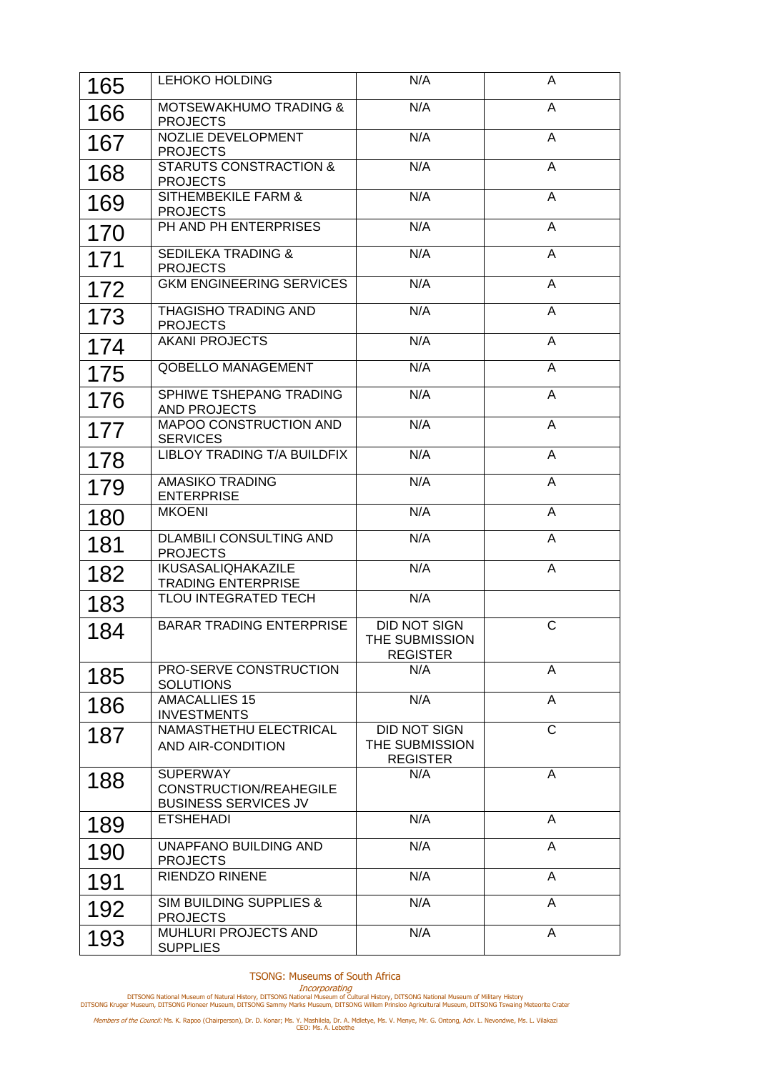| 165 | <b>LEHOKO HOLDING</b>                                                    | N/A                                                      | A              |
|-----|--------------------------------------------------------------------------|----------------------------------------------------------|----------------|
| 166 | <b>MOTSEWAKHUMO TRADING &amp;</b><br><b>PROJECTS</b>                     | N/A                                                      | A              |
| 167 | <b>NOZLIE DEVELOPMENT</b><br><b>PROJECTS</b>                             | N/A                                                      | $\overline{A}$ |
| 168 | <b>STARUTS CONSTRACTION &amp;</b><br><b>PROJECTS</b>                     | N/A                                                      | $\overline{A}$ |
| 169 | SITHEMBEKILE FARM &<br><b>PROJECTS</b>                                   | N/A                                                      | $\overline{A}$ |
| 170 | PH AND PH ENTERPRISES                                                    | N/A                                                      | A              |
| 171 | <b>SEDILEKA TRADING &amp;</b><br><b>PROJECTS</b>                         | N/A                                                      | A              |
| 172 | <b>GKM ENGINEERING SERVICES</b>                                          | N/A                                                      | A              |
| 173 | THAGISHO TRADING AND<br><b>PROJECTS</b>                                  | N/A                                                      | A              |
| 174 | <b>AKANI PROJECTS</b>                                                    | N/A                                                      | A              |
| 175 | QOBELLO MANAGEMENT                                                       | N/A                                                      | A              |
| 176 | SPHIWE TSHEPANG TRADING<br>AND PROJECTS                                  | N/A                                                      | $\overline{A}$ |
| 177 | MAPOO CONSTRUCTION AND<br><b>SERVICES</b>                                | N/A                                                      | A              |
| 178 | LIBLOY TRADING T/A BUILDFIX                                              | N/A                                                      | A              |
| 179 | <b>AMASIKO TRADING</b><br><b>ENTERPRISE</b>                              | N/A                                                      | A              |
| 180 | <b>MKOENI</b>                                                            | N/A                                                      | A              |
| 181 | <b>DLAMBILI CONSULTING AND</b><br><b>PROJECTS</b>                        | N/A                                                      | A              |
| 182 | <b>IKUSASALIQHAKAZILE</b><br><b>TRADING ENTERPRISE</b>                   | N/A                                                      | A              |
| 183 | <b>TLOU INTEGRATED TECH</b>                                              | N/A                                                      |                |
| 184 | <b>BARAR TRADING ENTERPRISE</b>                                          | DID NOT SIGN<br>THE SUBMISSION<br><b>REGISTER</b>        | $\mathsf{C}$   |
| 185 | PRO-SERVE CONSTRUCTION<br><b>SOLUTIONS</b>                               | N/A                                                      | A              |
| 186 | <b>AMACALLIES 15</b><br><b>INVESTMENTS</b>                               | N/A                                                      | A              |
| 187 | NAMASTHETHU ELECTRICAL<br>AND AIR-CONDITION                              | <b>DID NOT SIGN</b><br>THE SUBMISSION<br><b>REGISTER</b> | $\mathsf{C}$   |
| 188 | <b>SUPERWAY</b><br>CONSTRUCTION/REAHEGILE<br><b>BUSINESS SERVICES JV</b> | N/A                                                      | A              |
| 189 | <b>ETSHEHADI</b>                                                         | N/A                                                      | A              |
| 190 | UNAPFANO BUILDING AND<br><b>PROJECTS</b>                                 | N/A                                                      | A              |
| 191 | <b>RIENDZO RINENE</b>                                                    | N/A                                                      | A              |
| 192 | <b>SIM BUILDING SUPPLIES &amp;</b><br><b>PROJECTS</b>                    | N/A                                                      | A              |
| 193 | MUHLURI PROJECTS AND<br><b>SUPPLIES</b>                                  | N/A                                                      | A              |

Incorporating<br>DITSONG National Museum of Natural History, DITSONG National Museum of Military History<br>DITSONG Kruger Museum, DITSONG Pioneer Museum, DITSONG Sammy Marks Museum, DITSONG Willem Prinsloo Agricultural Museum,